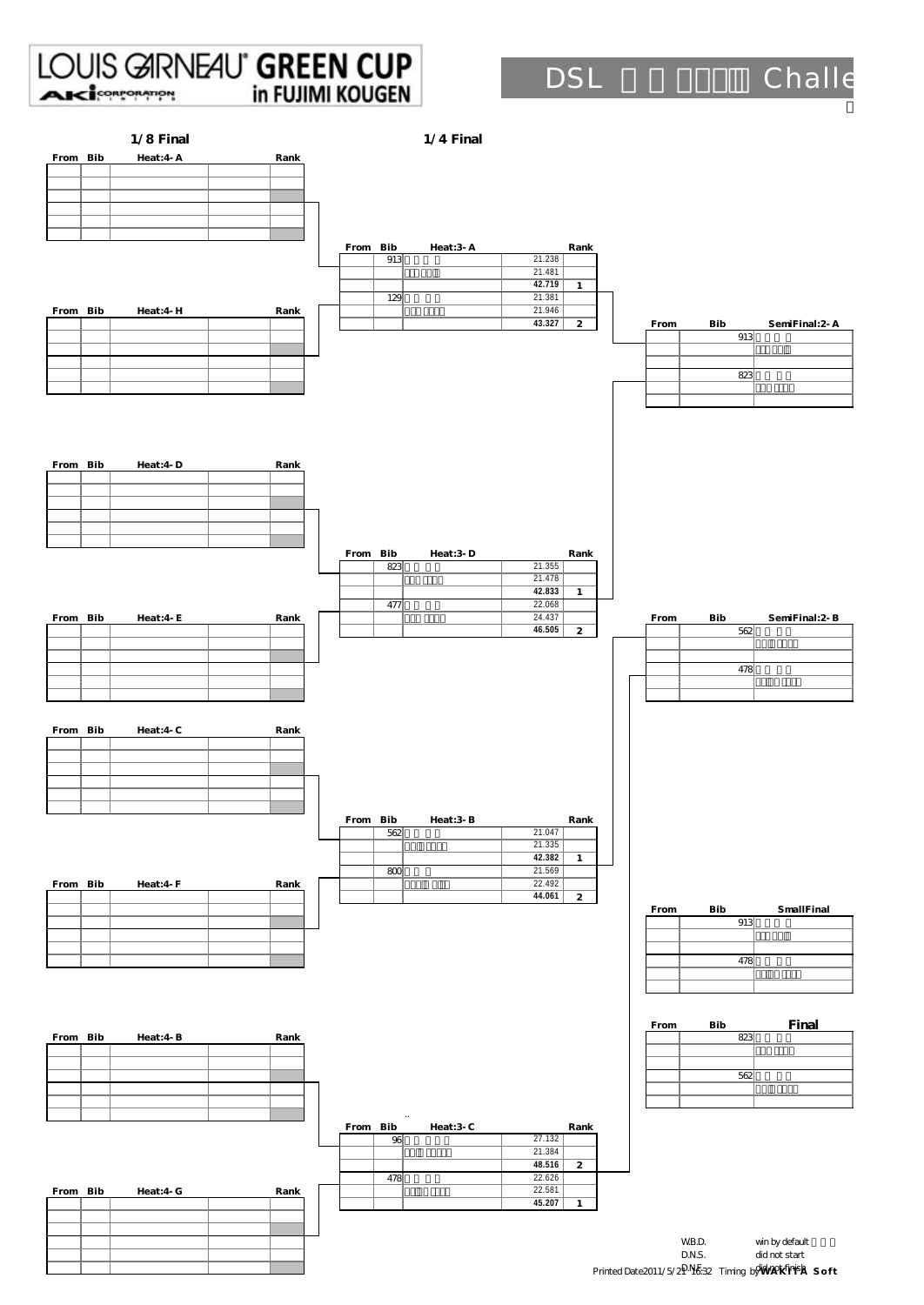| $1/8$ Final            |          | $1/4$ Final          |                                               |                                         |
|------------------------|----------|----------------------|-----------------------------------------------|-----------------------------------------|
| Heat: 4 A<br>From Bib  | Rank     |                      |                                               |                                         |
|                        |          |                      |                                               |                                         |
|                        |          |                      |                                               |                                         |
|                        |          |                      |                                               |                                         |
|                        | From Bib | Heat:3-A<br>913      | Rank<br>21.238                                |                                         |
|                        |          |                      | 21.481<br>42.719<br>$\boldsymbol{\mathit{1}}$ |                                         |
| From Bib<br>Heat:4 H   | Rank     | 129                  | 21.381<br>21.946                              |                                         |
|                        |          |                      | 43.327<br>$\boldsymbol{z}$                    | From<br>Bib<br>SemiFinal: 2-A<br>913    |
|                        |          |                      |                                               |                                         |
|                        |          |                      |                                               | 823                                     |
|                        |          |                      |                                               |                                         |
|                        |          |                      |                                               |                                         |
| Heat:4 D               |          |                      |                                               |                                         |
| From Bib               | Rank     |                      |                                               |                                         |
|                        |          |                      |                                               |                                         |
|                        |          |                      |                                               |                                         |
|                        | From Bib | Heat:3-D             | Rank                                          |                                         |
|                        |          | 823                  | 21.355<br>21.478                              |                                         |
|                        |          | 477                  | 42.833<br>$\boldsymbol{1}$<br>22.068          |                                         |
| From Bib<br>Heat: 4 E  | Rank     |                      | 24.437<br>46.505<br>$\boldsymbol{z}$          | SemiFinal: 2-B<br>From<br>Bib<br>562    |
|                        |          |                      |                                               |                                         |
|                        |          |                      |                                               | 478                                     |
|                        |          |                      |                                               |                                         |
| From Bib<br>Heat: $4C$ | Rank     |                      |                                               |                                         |
|                        |          |                      |                                               |                                         |
|                        |          |                      |                                               |                                         |
|                        |          |                      |                                               |                                         |
|                        | From Bib | Heat:3-B             | Rank                                          |                                         |
|                        |          | 562                  | 21.047<br>21.335                              |                                         |
|                        |          | 800                  | 42.382<br>$\boldsymbol{\mathit{1}}$<br>21.569 |                                         |
| From Bib<br>Heat: 4 F  | Rank     |                      | 22.492<br>44.061<br>$\boldsymbol{z}$          |                                         |
|                        |          |                      |                                               | <b>SmallFinal</b><br>Bib<br>From<br>913 |
|                        |          |                      |                                               |                                         |
|                        |          |                      |                                               | 478                                     |
|                        |          |                      |                                               |                                         |
|                        |          |                      |                                               | Final<br><b>Bib</b><br>From             |
| From Bib<br>Heat: $4B$ | Rank     |                      |                                               | 823                                     |
|                        |          |                      |                                               | 562                                     |
|                        |          |                      |                                               |                                         |
|                        |          | $\ddot{\phantom{0}}$ |                                               |                                         |
|                        | From Bib | Heat:3 C<br>96       | Rank<br>27.132                                |                                         |
|                        |          |                      | 21.384<br>48.516<br>$\overline{z}$            |                                         |
| From Bib<br>Heat: 4 G  | Rank     | 478                  | 22.626<br>22.581                              |                                         |
|                        |          |                      | 45.207<br>$\boldsymbol{1}$                    |                                         |
|                        |          |                      |                                               | WB.D.<br>win by default                 |
|                        |          |                      |                                               | D.N.S.<br>did not start                 |

4-G-4 D.N.F. did not finish the control of the control of the control of the control of the control of the control of the control of the control of the control of the control of the control of the control of the control of